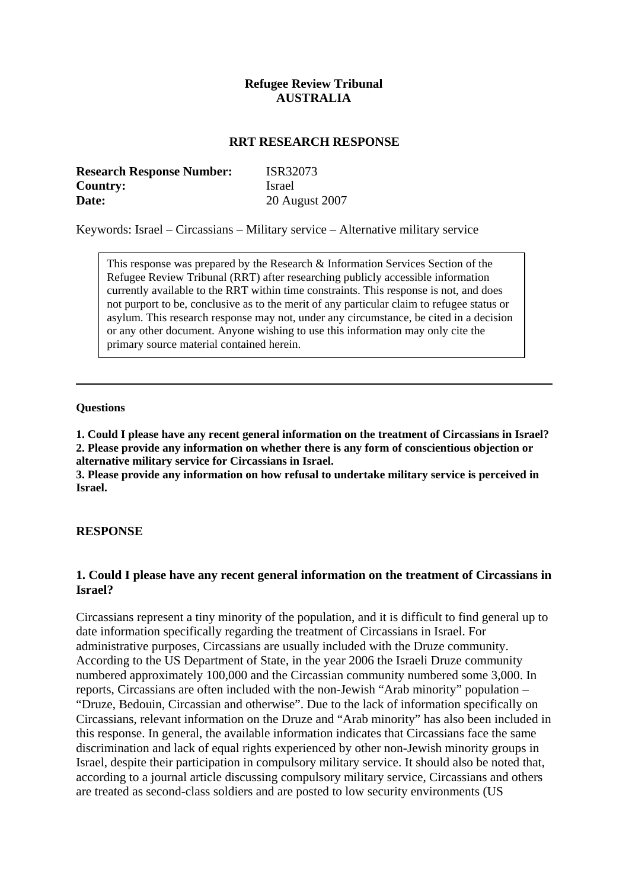# **Refugee Review Tribunal AUSTRALIA**

#### **RRT RESEARCH RESPONSE**

| <b>Research Response Number:</b> | ISR32073       |
|----------------------------------|----------------|
| <b>Country:</b>                  | <b>Israel</b>  |
| Date:                            | 20 August 2007 |

Keywords: Israel – Circassians – Military service – Alternative military service

This response was prepared by the Research & Information Services Section of the Refugee Review Tribunal (RRT) after researching publicly accessible information currently available to the RRT within time constraints. This response is not, and does not purport to be, conclusive as to the merit of any particular claim to refugee status or asylum. This research response may not, under any circumstance, be cited in a decision or any other document. Anyone wishing to use this information may only cite the primary source material contained herein.

#### **Questions**

**1. Could I please have any recent general information on the treatment of Circassians in Israel? 2. Please provide any information on whether there is any form of conscientious objection or alternative military service for Circassians in Israel.** 

**3. Please provide any information on how refusal to undertake military service is perceived in Israel.** 

#### **RESPONSE**

# **1. Could I please have any recent general information on the treatment of Circassians in Israel?**

Circassians represent a tiny minority of the population, and it is difficult to find general up to date information specifically regarding the treatment of Circassians in Israel. For administrative purposes, Circassians are usually included with the Druze community. According to the US Department of State, in the year 2006 the Israeli Druze community numbered approximately 100,000 and the Circassian community numbered some 3,000. In reports, Circassians are often included with the non-Jewish "Arab minority" population – "Druze, Bedouin, Circassian and otherwise". Due to the lack of information specifically on Circassians, relevant information on the Druze and "Arab minority" has also been included in this response. In general, the available information indicates that Circassians face the same discrimination and lack of equal rights experienced by other non-Jewish minority groups in Israel, despite their participation in compulsory military service. It should also be noted that, according to a journal article discussing compulsory military service, Circassians and others are treated as second-class soldiers and are posted to low security environments (US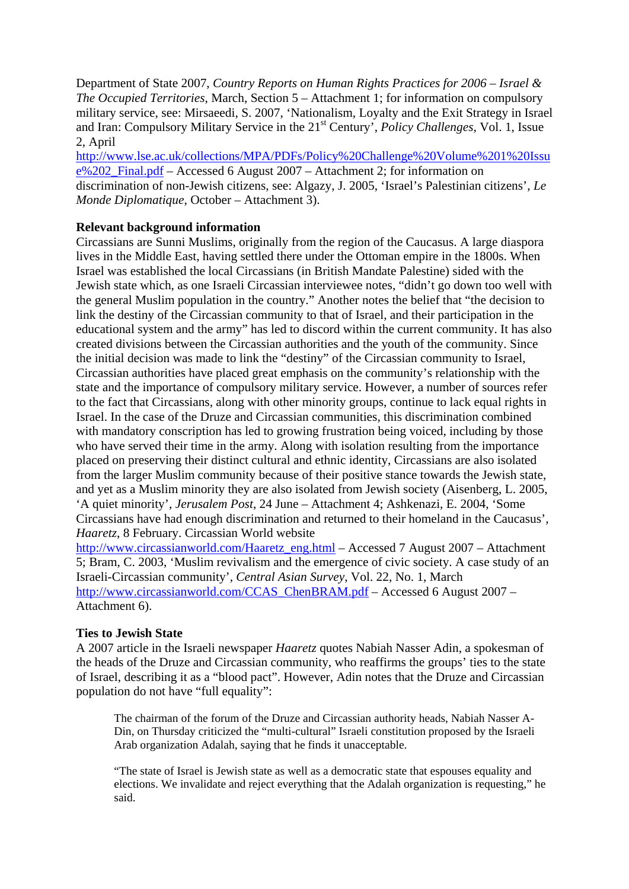Department of State 2007, *Country Reports on Human Rights Practices for 2006 – Israel & The Occupied Territories*, March, Section 5 – Attachment 1; for information on compulsory military service, see: Mirsaeedi, S. 2007, 'Nationalism, Loyalty and the Exit Strategy in Israel and Iran: Compulsory Military Service in the 21<sup>st</sup> Century', *Policy Challenges*, Vol. 1, Issue 2, April

[http://www.lse.ac.uk/collections/MPA/PDFs/Policy%20Challenge%20Volume%201%20Issu](http://www.lse.ac.uk/collections/MPA/PDFs/Policy%20Challenge%20Volume%201%20Issue%202_Final.pdf)  $e\sqrt{202}$  Final.pdf – Accessed 6 August 2007 – Attachment 2; for information on discrimination of non-Jewish citizens, see: Algazy, J. 2005, 'Israel's Palestinian citizens', *Le Monde Diplomatique*, October – Attachment 3).

# **Relevant background information**

Circassians are Sunni Muslims, originally from the region of the Caucasus. A large diaspora lives in the Middle East, having settled there under the Ottoman empire in the 1800s. When Israel was established the local Circassians (in British Mandate Palestine) sided with the Jewish state which, as one Israeli Circassian interviewee notes, "didn't go down too well with the general Muslim population in the country." Another notes the belief that "the decision to link the destiny of the Circassian community to that of Israel, and their participation in the educational system and the army" has led to discord within the current community. It has also created divisions between the Circassian authorities and the youth of the community. Since the initial decision was made to link the "destiny" of the Circassian community to Israel, Circassian authorities have placed great emphasis on the community's relationship with the state and the importance of compulsory military service. However, a number of sources refer to the fact that Circassians, along with other minority groups, continue to lack equal rights in Israel. In the case of the Druze and Circassian communities, this discrimination combined with mandatory conscription has led to growing frustration being voiced, including by those who have served their time in the army. Along with isolation resulting from the importance placed on preserving their distinct cultural and ethnic identity, Circassians are also isolated from the larger Muslim community because of their positive stance towards the Jewish state, and yet as a Muslim minority they are also isolated from Jewish society (Aisenberg, L. 2005, 'A quiet minority', *Jerusalem Post*, 24 June – Attachment 4; Ashkenazi, E. 2004, 'Some Circassians have had enough discrimination and returned to their homeland in the Caucasus', *Haaretz*, 8 February. Circassian World website

[http://www.circassianworld.com/Haaretz\\_eng.html](http://www.circassianworld.com/Haaretz_eng.html) – Accessed 7 August 2007 – Attachment 5; Bram, C. 2003, 'Muslim revivalism and the emergence of civic society. A case study of an Israeli-Circassian community', *Central Asian Survey*, Vol. 22, No. 1, March [http://www.circassianworld.com/CCAS\\_ChenBRAM.pdf](http://www.circassianworld.com/CCAS_ChenBRAM.pdf) – Accessed 6 August 2007 – Attachment 6).

# **Ties to Jewish State**

A 2007 article in the Israeli newspaper *Haaretz* quotes Nabiah Nasser Adin, a spokesman of the heads of the Druze and Circassian community, who reaffirms the groups' ties to the state of Israel, describing it as a "blood pact". However, Adin notes that the Druze and Circassian population do not have "full equality":

The chairman of the forum of the Druze and Circassian authority heads, Nabiah Nasser A-Din, on Thursday criticized the "multi-cultural" Israeli constitution proposed by the Israeli Arab organization Adalah, saying that he finds it unacceptable.

"The state of Israel is Jewish state as well as a democratic state that espouses equality and elections. We invalidate and reject everything that the Adalah organization is requesting," he said.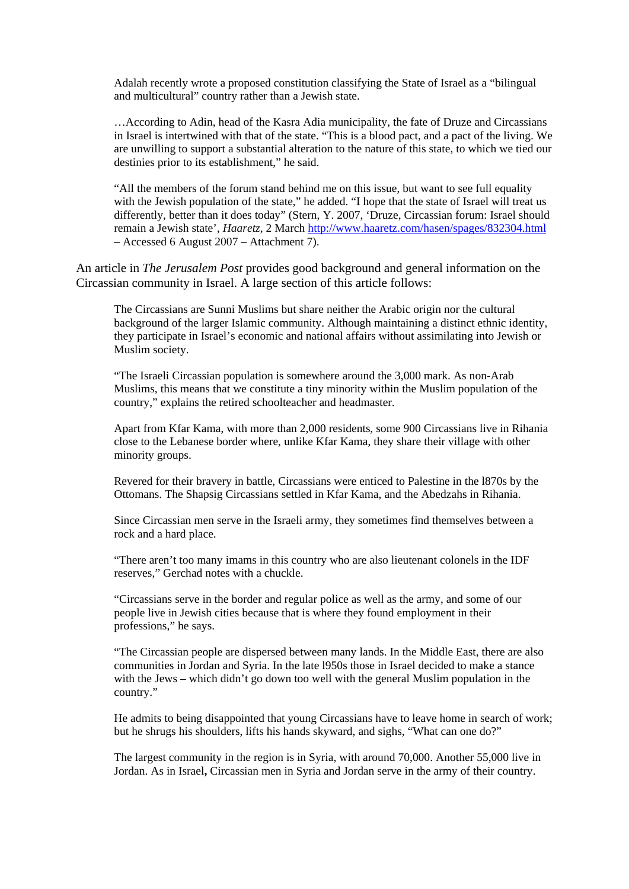Adalah recently wrote a proposed constitution classifying the State of Israel as a "bilingual and multicultural" country rather than a Jewish state.

…According to Adin, head of the Kasra Adia municipality, the fate of Druze and Circassians in Israel is intertwined with that of the state. "This is a blood pact, and a pact of the living. We are unwilling to support a substantial alteration to the nature of this state, to which we tied our destinies prior to its establishment," he said.

"All the members of the forum stand behind me on this issue, but want to see full equality with the Jewish population of the state," he added. "I hope that the state of Israel will treat us differently, better than it does today" (Stern, Y. 2007, 'Druze, Circassian forum: Israel should remain a Jewish state', *Haaretz*, 2 March <http://www.haaretz.com/hasen/spages/832304.html> – Accessed 6 August 2007 – Attachment 7).

An article in *The Jerusalem Post* provides good background and general information on the Circassian community in Israel. A large section of this article follows:

The Circassians are Sunni Muslims but share neither the Arabic origin nor the cultural background of the larger Islamic community. Although maintaining a distinct ethnic identity, they participate in Israel's economic and national affairs without assimilating into Jewish or Muslim society.

"The Israeli Circassian population is somewhere around the 3,000 mark. As non-Arab Muslims, this means that we constitute a tiny minority within the Muslim population of the country," explains the retired schoolteacher and headmaster.

Apart from Kfar Kama, with more than 2,000 residents, some 900 Circassians live in Rihania close to the Lebanese border where, unlike Kfar Kama, they share their village with other minority groups.

Revered for their bravery in battle, Circassians were enticed to Palestine in the l870s by the Ottomans. The Shapsig Circassians settled in Kfar Kama, and the Abedzahs in Rihania.

Since Circassian men serve in the Israeli army, they sometimes find themselves between a rock and a hard place.

"There aren't too many imams in this country who are also lieutenant colonels in the IDF reserves," Gerchad notes with a chuckle.

"Circassians serve in the border and regular police as well as the army, and some of our people live in Jewish cities because that is where they found employment in their professions," he says.

"The Circassian people are dispersed between many lands. In the Middle East, there are also communities in Jordan and Syria. In the late l950s those in Israel decided to make a stance with the Jews – which didn't go down too well with the general Muslim population in the country."

He admits to being disappointed that young Circassians have to leave home in search of work; but he shrugs his shoulders, lifts his hands skyward, and sighs, "What can one do?"

The largest community in the region is in Syria, with around 70,000. Another 55,000 live in Jordan. As in Israel**,** Circassian men in Syria and Jordan serve in the army of their country.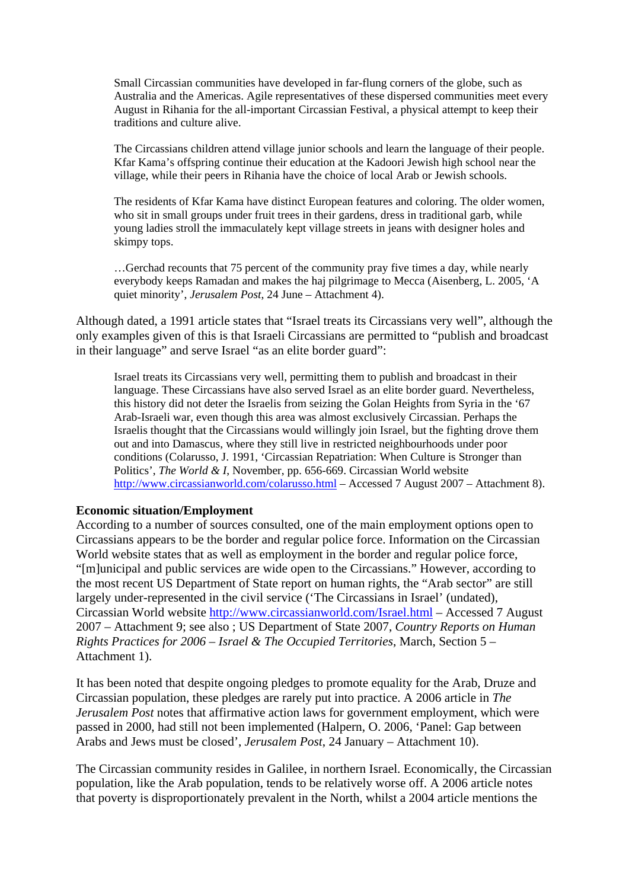Small Circassian communities have developed in far-flung corners of the globe, such as Australia and the Americas. Agile representatives of these dispersed communities meet every August in Rihania for the all-important Circassian Festival, a physical attempt to keep their traditions and culture alive.

The Circassians children attend village junior schools and learn the language of their people. Kfar Kama's offspring continue their education at the Kadoori Jewish high school near the village, while their peers in Rihania have the choice of local Arab or Jewish schools.

The residents of Kfar Kama have distinct European features and coloring. The older women, who sit in small groups under fruit trees in their gardens, dress in traditional garb, while young ladies stroll the immaculately kept village streets in jeans with designer holes and skimpy tops.

…Gerchad recounts that 75 percent of the community pray five times a day, while nearly everybody keeps Ramadan and makes the haj pilgrimage to Mecca (Aisenberg, L. 2005, 'A quiet minority', *Jerusalem Post*, 24 June – Attachment 4).

Although dated, a 1991 article states that "Israel treats its Circassians very well", although the only examples given of this is that Israeli Circassians are permitted to "publish and broadcast in their language" and serve Israel "as an elite border guard":

Israel treats its Circassians very well, permitting them to publish and broadcast in their language. These Circassians have also served Israel as an elite border guard. Nevertheless, this history did not deter the Israelis from seizing the Golan Heights from Syria in the '67 Arab-Israeli war, even though this area was almost exclusively Circassian. Perhaps the Israelis thought that the Circassians would willingly join Israel, but the fighting drove them out and into Damascus, where they still live in restricted neighbourhoods under poor conditions (Colarusso, J. 1991, 'Circassian Repatriation: When Culture is Stronger than Politics', *The World & I*, November, pp. 656-669. Circassian World website <http://www.circassianworld.com/colarusso.html> – Accessed 7 August 2007 – Attachment 8).

# **Economic situation/Employment**

According to a number of sources consulted, one of the main employment options open to Circassians appears to be the border and regular police force. Information on the Circassian World website states that as well as employment in the border and regular police force, "[m]unicipal and public services are wide open to the Circassians." However, according to the most recent US Department of State report on human rights, the "Arab sector" are still largely under-represented in the civil service ('The Circassians in Israel' (undated), Circassian World website<http://www.circassianworld.com/Israel.html>– Accessed 7 August 2007 – Attachment 9; see also ; US Department of State 2007, *Country Reports on Human Rights Practices for 2006 – Israel & The Occupied Territories*, March, Section 5 – Attachment 1).

It has been noted that despite ongoing pledges to promote equality for the Arab, Druze and Circassian population, these pledges are rarely put into practice. A 2006 article in *The Jerusalem Post* notes that affirmative action laws for government employment, which were passed in 2000, had still not been implemented (Halpern, O. 2006, 'Panel: Gap between Arabs and Jews must be closed', *Jerusalem Post*, 24 January – Attachment 10).

The Circassian community resides in Galilee, in northern Israel. Economically, the Circassian population, like the Arab population, tends to be relatively worse off. A 2006 article notes that poverty is disproportionately prevalent in the North, whilst a 2004 article mentions the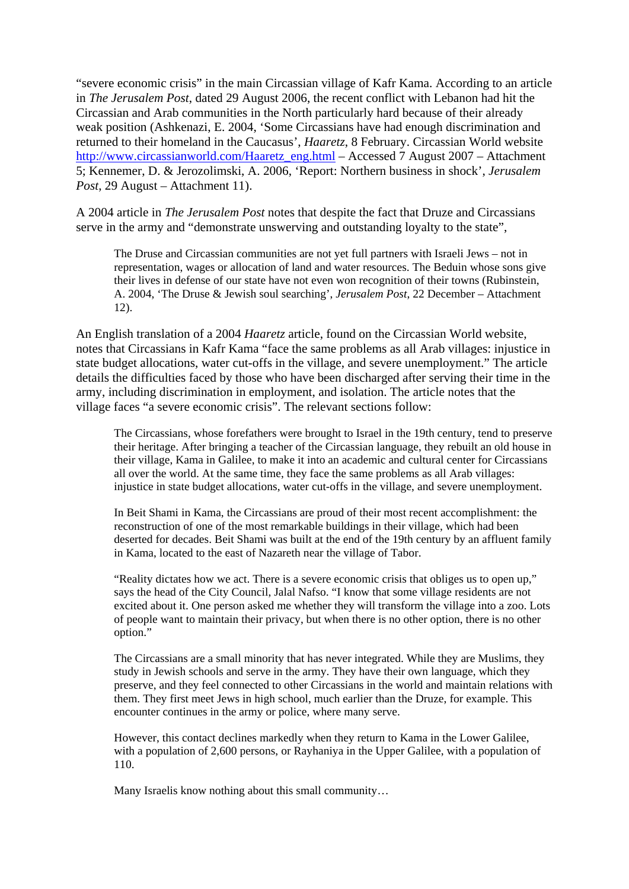"severe economic crisis" in the main Circassian village of Kafr Kama. According to an article in *The Jerusalem Post*, dated 29 August 2006, the recent conflict with Lebanon had hit the Circassian and Arab communities in the North particularly hard because of their already weak position (Ashkenazi, E. 2004, 'Some Circassians have had enough discrimination and returned to their homeland in the Caucasus', *Haaretz*, 8 February. Circassian World website [http://www.circassianworld.com/Haaretz\\_eng.html](http://www.circassianworld.com/Haaretz_eng.html) – Accessed 7 August 2007 – Attachment 5; Kennemer, D. & Jerozolimski, A. 2006, 'Report: Northern business in shock', *Jerusalem Post*, 29 August – Attachment 11).

A 2004 article in *The Jerusalem Post* notes that despite the fact that Druze and Circassians serve in the army and "demonstrate unswerving and outstanding loyalty to the state",

The Druse and Circassian communities are not yet full partners with Israeli Jews – not in representation, wages or allocation of land and water resources. The Beduin whose sons give their lives in defense of our state have not even won recognition of their towns (Rubinstein, A. 2004, 'The Druse & Jewish soul searching', *Jerusalem Post*, 22 December – Attachment 12).

An English translation of a 2004 *Haaretz* article, found on the Circassian World website, notes that Circassians in Kafr Kama "face the same problems as all Arab villages: injustice in state budget allocations, water cut-offs in the village, and severe unemployment." The article details the difficulties faced by those who have been discharged after serving their time in the army, including discrimination in employment, and isolation. The article notes that the village faces "a severe economic crisis". The relevant sections follow:

The Circassians, whose forefathers were brought to Israel in the 19th century, tend to preserve their heritage. After bringing a teacher of the Circassian language, they rebuilt an old house in their village, Kama in Galilee, to make it into an academic and cultural center for Circassians all over the world. At the same time, they face the same problems as all Arab villages: injustice in state budget allocations, water cut-offs in the village, and severe unemployment.

In Beit Shami in Kama, the Circassians are proud of their most recent accomplishment: the reconstruction of one of the most remarkable buildings in their village, which had been deserted for decades. Beit Shami was built at the end of the 19th century by an affluent family in Kama, located to the east of Nazareth near the village of Tabor.

"Reality dictates how we act. There is a severe economic crisis that obliges us to open up," says the head of the City Council, Jalal Nafso. "I know that some village residents are not excited about it. One person asked me whether they will transform the village into a zoo. Lots of people want to maintain their privacy, but when there is no other option, there is no other option."

The Circassians are a small minority that has never integrated. While they are Muslims, they study in Jewish schools and serve in the army. They have their own language, which they preserve, and they feel connected to other Circassians in the world and maintain relations with them. They first meet Jews in high school, much earlier than the Druze, for example. This encounter continues in the army or police, where many serve.

However, this contact declines markedly when they return to Kama in the Lower Galilee, with a population of 2,600 persons, or Rayhaniya in the Upper Galilee, with a population of 110.

Many Israelis know nothing about this small community…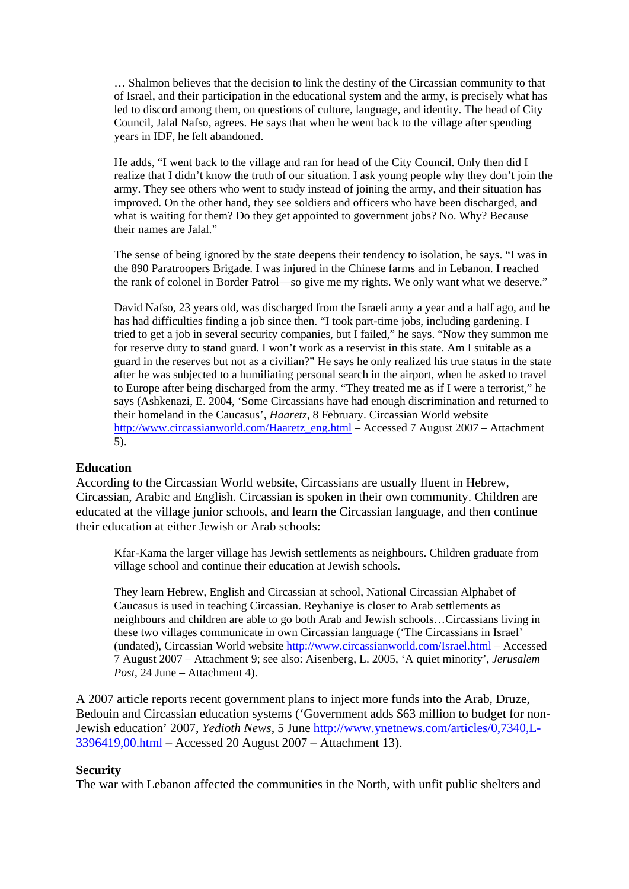… Shalmon believes that the decision to link the destiny of the Circassian community to that of Israel, and their participation in the educational system and the army, is precisely what has led to discord among them, on questions of culture, language, and identity. The head of City Council, Jalal Nafso, agrees. He says that when he went back to the village after spending years in IDF, he felt abandoned.

He adds, "I went back to the village and ran for head of the City Council. Only then did I realize that I didn't know the truth of our situation. I ask young people why they don't join the army. They see others who went to study instead of joining the army, and their situation has improved. On the other hand, they see soldiers and officers who have been discharged, and what is waiting for them? Do they get appointed to government jobs? No. Why? Because their names are Jalal"

The sense of being ignored by the state deepens their tendency to isolation, he says. "I was in the 890 Paratroopers Brigade. I was injured in the Chinese farms and in Lebanon. I reached the rank of colonel in Border Patrol—so give me my rights. We only want what we deserve."

David Nafso, 23 years old, was discharged from the Israeli army a year and a half ago, and he has had difficulties finding a job since then. "I took part-time jobs, including gardening. I tried to get a job in several security companies, but I failed," he says. "Now they summon me for reserve duty to stand guard. I won't work as a reservist in this state. Am I suitable as a guard in the reserves but not as a civilian?" He says he only realized his true status in the state after he was subjected to a humiliating personal search in the airport, when he asked to travel to Europe after being discharged from the army. "They treated me as if I were a terrorist," he says (Ashkenazi, E. 2004, 'Some Circassians have had enough discrimination and returned to their homeland in the Caucasus', *Haaretz*, 8 February. Circassian World website [http://www.circassianworld.com/Haaretz\\_eng.html](http://www.circassianworld.com/Haaretz_eng.html) – Accessed 7 August 2007 – Attachment 5).

#### **Education**

According to the Circassian World website, Circassians are usually fluent in Hebrew, Circassian, Arabic and English. Circassian is spoken in their own community. Children are educated at the village junior schools, and learn the Circassian language, and then continue their education at either Jewish or Arab schools:

Kfar-Kama the larger village has Jewish settlements as neighbours. Children graduate from village school and continue their education at Jewish schools.

They learn Hebrew, English and Circassian at school, National Circassian Alphabet of Caucasus is used in teaching Circassian. Reyhaniye is closer to Arab settlements as neighbours and children are able to go both Arab and Jewish schools…Circassians living in these two villages communicate in own Circassian language ('The Circassians in Israel' (undated), Circassian World website<http://www.circassianworld.com/Israel.html> – Accessed 7 August 2007 – Attachment 9; see also: Aisenberg, L. 2005, 'A quiet minority', *Jerusalem Post*, 24 June – Attachment 4).

A 2007 article reports recent government plans to inject more funds into the Arab, Druze, Bedouin and Circassian education systems ('Government adds \$63 million to budget for non-Jewish education' 2007, *Yedioth News*, 5 June [http://www.ynetnews.com/articles/0,7340,L-](http://www.ynetnews.com/articles/0,7340,L-3396419,00.html)[3396419,00.html](http://www.ynetnews.com/articles/0,7340,L-3396419,00.html) – Accessed 20 August 2007 – Attachment 13).

#### **Security**

The war with Lebanon affected the communities in the North, with unfit public shelters and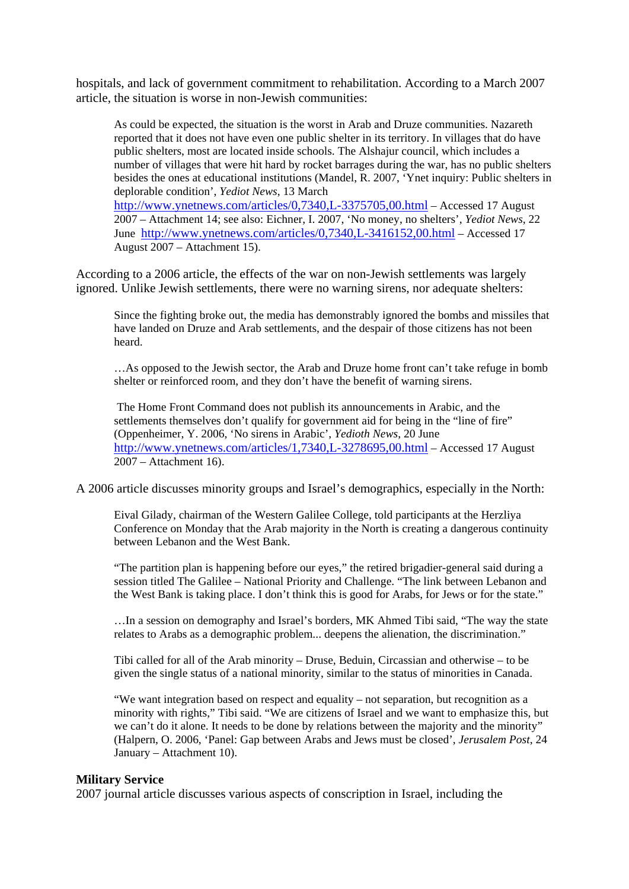hospitals, and lack of government commitment to rehabilitation. According to a March 2007 article, the situation is worse in non-Jewish communities:

As could be expected, the situation is the worst in Arab and Druze communities. Nazareth reported that it does not have even one public shelter in its territory. In villages that do have public shelters, most are located inside schools. The Alshajur council, which includes a number of villages that were hit hard by rocket barrages during the war, has no public shelters besides the ones at educational institutions (Mandel, R. 2007, 'Ynet inquiry: Public shelters in deplorable condition', *Yediot News*, 13 March <http://www.ynetnews.com/articles/0,7340,L-3375705,00.html> – Accessed 17 August 2007 – Attachment 14; see also: Eichner, I. 2007, 'No money, no shelters', *Yediot News*, 22 June <http://www.ynetnews.com/articles/0,7340,L-3416152,00.html>– Accessed 17 August 2007 – Attachment 15).

According to a 2006 article, the effects of the war on non-Jewish settlements was largely ignored. Unlike Jewish settlements, there were no warning sirens, nor adequate shelters:

Since the fighting broke out, the media has demonstrably ignored the bombs and missiles that have landed on Druze and Arab settlements, and the despair of those citizens has not been heard.

…As opposed to the Jewish sector, the Arab and Druze home front can't take refuge in bomb shelter or reinforced room, and they don't have the benefit of warning sirens.

 The Home Front Command does not publish its announcements in Arabic, and the settlements themselves don't qualify for government aid for being in the "line of fire" (Oppenheimer, Y. 2006, 'No sirens in Arabic', *Yedioth News*, 20 June <http://www.ynetnews.com/articles/1,7340,L-3278695,00.html> – Accessed 17 August 2007 – Attachment 16).

A 2006 article discusses minority groups and Israel's demographics, especially in the North:

Eival Gilady, chairman of the Western Galilee College, told participants at the Herzliya Conference on Monday that the Arab majority in the North is creating a dangerous continuity between Lebanon and the West Bank.

"The partition plan is happening before our eyes," the retired brigadier-general said during a session titled The Galilee – National Priority and Challenge. "The link between Lebanon and the West Bank is taking place. I don't think this is good for Arabs, for Jews or for the state."

…In a session on demography and Israel's borders, MK Ahmed Tibi said, "The way the state relates to Arabs as a demographic problem... deepens the alienation, the discrimination."

Tibi called for all of the Arab minority – Druse, Beduin, Circassian and otherwise – to be given the single status of a national minority, similar to the status of minorities in Canada.

"We want integration based on respect and equality – not separation, but recognition as a minority with rights," Tibi said. "We are citizens of Israel and we want to emphasize this, but we can't do it alone. It needs to be done by relations between the majority and the minority" (Halpern, O. 2006, 'Panel: Gap between Arabs and Jews must be closed', *Jerusalem Post*, 24 January – Attachment 10).

#### **Military Service**

2007 journal article discusses various aspects of conscription in Israel, including the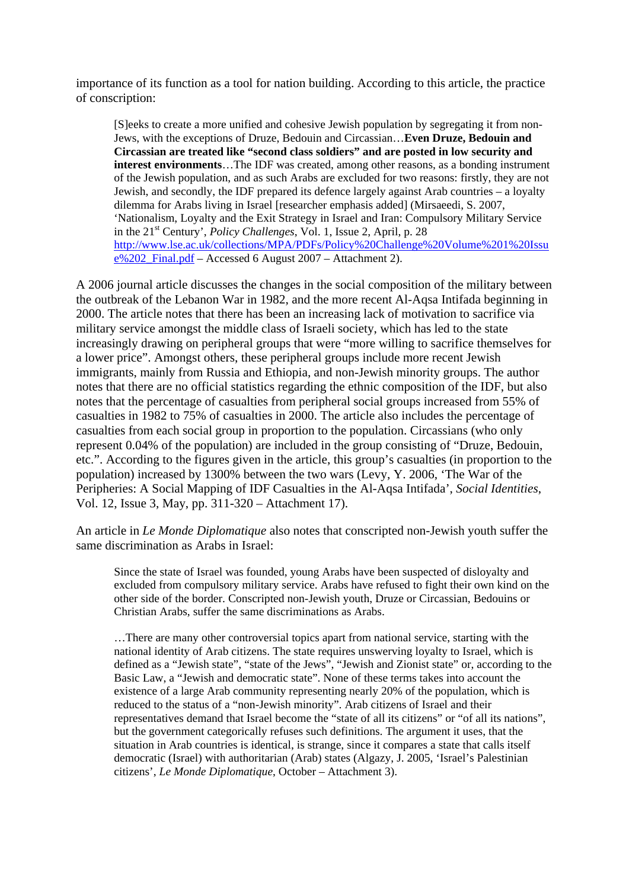importance of its function as a tool for nation building. According to this article, the practice of conscription:

[S]eeks to create a more unified and cohesive Jewish population by segregating it from non-Jews, with the exceptions of Druze, Bedouin and Circassian…**Even Druze, Bedouin and Circassian are treated like "second class soldiers" and are posted in low security and interest environments**…The IDF was created, among other reasons, as a bonding instrument of the Jewish population, and as such Arabs are excluded for two reasons: firstly, they are not Jewish, and secondly, the IDF prepared its defence largely against Arab countries – a loyalty dilemma for Arabs living in Israel [researcher emphasis added] (Mirsaeedi, S. 2007, 'Nationalism, Loyalty and the Exit Strategy in Israel and Iran: Compulsory Military Service in the 21<sup>st</sup> Century', *Policy Challenges*, Vol. 1, Issue 2, April, p. 28 [http://www.lse.ac.uk/collections/MPA/PDFs/Policy%20Challenge%20Volume%201%20Issu](http://www.lse.ac.uk/collections/MPA/PDFs/Policy%20Challenge%20Volume%201%20Issue%202_Final.pdf) [e%202\\_Final.pdf](http://www.lse.ac.uk/collections/MPA/PDFs/Policy%20Challenge%20Volume%201%20Issue%202_Final.pdf) – Accessed 6 August 2007 – Attachment 2).

A 2006 journal article discusses the changes in the social composition of the military between the outbreak of the Lebanon War in 1982, and the more recent Al-Aqsa Intifada beginning in 2000. The article notes that there has been an increasing lack of motivation to sacrifice via military service amongst the middle class of Israeli society, which has led to the state increasingly drawing on peripheral groups that were "more willing to sacrifice themselves for a lower price". Amongst others, these peripheral groups include more recent Jewish immigrants, mainly from Russia and Ethiopia, and non-Jewish minority groups. The author notes that there are no official statistics regarding the ethnic composition of the IDF, but also notes that the percentage of casualties from peripheral social groups increased from 55% of casualties in 1982 to 75% of casualties in 2000. The article also includes the percentage of casualties from each social group in proportion to the population. Circassians (who only represent 0.04% of the population) are included in the group consisting of "Druze, Bedouin, etc.". According to the figures given in the article, this group's casualties (in proportion to the population) increased by 1300% between the two wars (Levy, Y. 2006, 'The War of the Peripheries: A Social Mapping of IDF Casualties in the Al-Aqsa Intifada', *Social Identities*, Vol. 12, Issue 3, May, pp. 311-320 – Attachment 17).

An article in *Le Monde Diplomatique* also notes that conscripted non-Jewish youth suffer the same discrimination as Arabs in Israel:

Since the state of Israel was founded, young Arabs have been suspected of disloyalty and excluded from compulsory military service. Arabs have refused to fight their own kind on the other side of the border. Conscripted non-Jewish youth, Druze or Circassian, Bedouins or Christian Arabs, suffer the same discriminations as Arabs.

…There are many other controversial topics apart from national service, starting with the national identity of Arab citizens. The state requires unswerving loyalty to Israel, which is defined as a "Jewish state", "state of the Jews", "Jewish and Zionist state" or, according to the Basic Law, a "Jewish and democratic state". None of these terms takes into account the existence of a large Arab community representing nearly 20% of the population, which is reduced to the status of a "non-Jewish minority". Arab citizens of Israel and their representatives demand that Israel become the "state of all its citizens" or "of all its nations", but the government categorically refuses such definitions. The argument it uses, that the situation in Arab countries is identical, is strange, since it compares a state that calls itself democratic (Israel) with authoritarian (Arab) states (Algazy, J. 2005, 'Israel's Palestinian citizens', *Le Monde Diplomatique*, October – Attachment 3).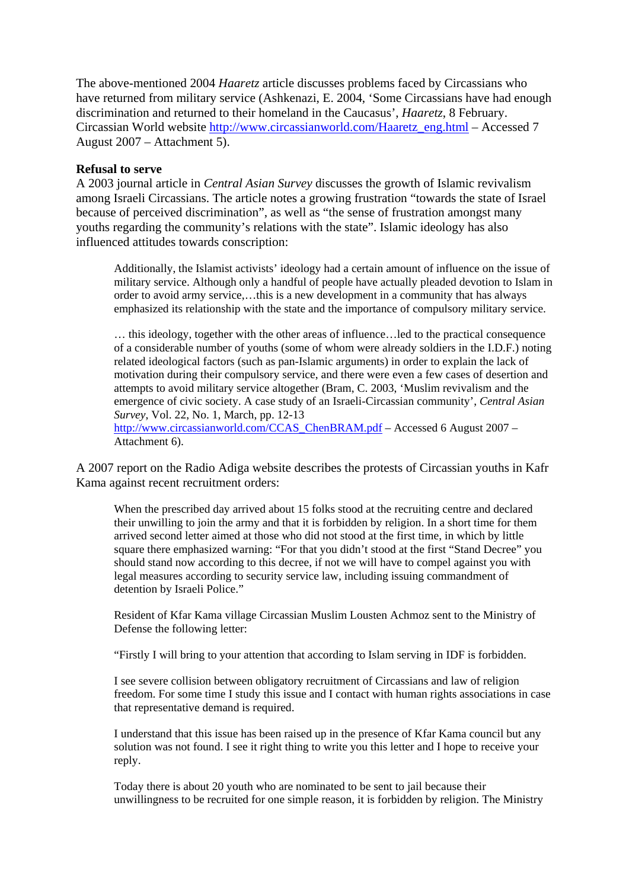The above-mentioned 2004 *Haaretz* article discusses problems faced by Circassians who have returned from military service (Ashkenazi, E. 2004, 'Some Circassians have had enough discrimination and returned to their homeland in the Caucasus', *Haaretz*, 8 February. Circassian World website [http://www.circassianworld.com/Haaretz\\_eng.html](http://www.circassianworld.com/Haaretz_eng.html) – Accessed 7 August 2007 – Attachment 5).

#### **Refusal to serve**

A 2003 journal article in *Central Asian Survey* discusses the growth of Islamic revivalism among Israeli Circassians. The article notes a growing frustration "towards the state of Israel because of perceived discrimination", as well as "the sense of frustration amongst many youths regarding the community's relations with the state". Islamic ideology has also influenced attitudes towards conscription:

Additionally, the Islamist activists' ideology had a certain amount of influence on the issue of military service. Although only a handful of people have actually pleaded devotion to Islam in order to avoid army service,…this is a new development in a community that has always emphasized its relationship with the state and the importance of compulsory military service.

… this ideology, together with the other areas of influence…led to the practical consequence of a considerable number of youths (some of whom were already soldiers in the I.D.F.) noting related ideological factors (such as pan-Islamic arguments) in order to explain the lack of motivation during their compulsory service, and there were even a few cases of desertion and attempts to avoid military service altogether (Bram, C. 2003, 'Muslim revivalism and the emergence of civic society. A case study of an Israeli-Circassian community', *Central Asian Survey*, Vol. 22, No. 1, March, pp. 12-13 [http://www.circassianworld.com/CCAS\\_ChenBRAM.pdf](http://www.circassianworld.com/CCAS_ChenBRAM.pdf) – Accessed 6 August 2007 – Attachment 6).

A 2007 report on the Radio Adiga website describes the protests of Circassian youths in Kafr Kama against recent recruitment orders:

When the prescribed day arrived about 15 folks stood at the recruiting centre and declared their unwilling to join the army and that it is forbidden by religion. In a short time for them arrived second letter aimed at those who did not stood at the first time, in which by little square there emphasized warning: "For that you didn't stood at the first "Stand Decree" you should stand now according to this decree, if not we will have to compel against you with legal measures according to security service law, including issuing commandment of detention by Israeli Police."

Resident of Kfar Kama village Circassian Muslim Lousten Achmoz sent to the Ministry of Defense the following letter:

"Firstly I will bring to your attention that according to Islam serving in IDF is forbidden.

I see severe collision between obligatory recruitment of Circassians and law of religion freedom. For some time I study this issue and I contact with human rights associations in case that representative demand is required.

I understand that this issue has been raised up in the presence of Kfar Kama council but any solution was not found. I see it right thing to write you this letter and I hope to receive your reply.

Today there is about 20 youth who are nominated to be sent to jail because their unwillingness to be recruited for one simple reason, it is forbidden by religion. The Ministry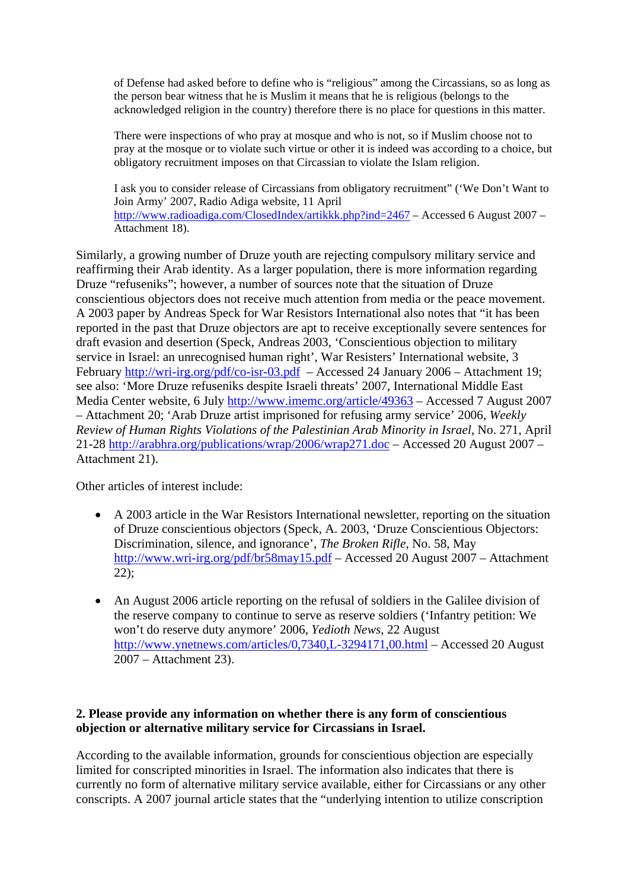of Defense had asked before to define who is "religious" among the Circassians, so as long as the person bear witness that he is Muslim it means that he is religious (belongs to the acknowledged religion in the country) therefore there is no place for questions in this matter.

There were inspections of who pray at mosque and who is not, so if Muslim choose not to pray at the mosque or to violate such virtue or other it is indeed was according to a choice, but obligatory recruitment imposes on that Circassian to violate the Islam religion.

I ask you to consider release of Circassians from obligatory recruitment" ('We Don't Want to Join Army' 2007, Radio Adiga website, 11 April <http://www.radioadiga.com/ClosedIndex/artikkk.php?ind=2467> – Accessed 6 August 2007 – Attachment 18).

Similarly, a growing number of Druze youth are rejecting compulsory military service and reaffirming their Arab identity. As a larger population, there is more information regarding Druze "refuseniks"; however, a number of sources note that the situation of Druze conscientious objectors does not receive much attention from media or the peace movement. A 2003 paper by Andreas Speck for War Resistors International also notes that "it has been reported in the past that Druze objectors are apt to receive exceptionally severe sentences for draft evasion and desertion (Speck, Andreas 2003, 'Conscientious objection to military service in Israel: an unrecognised human right', War Resisters' International website, 3 February<http://wri-irg.org/pdf/co-isr-03.pdf> – Accessed 24 January 2006 – Attachment 19; see also: 'More Druze refuseniks despite Israeli threats' 2007, International Middle East Media Center website, 6 July<http://www.imemc.org/article/49363> – Accessed 7 August 2007 – Attachment 20; 'Arab Druze artist imprisoned for refusing army service' 2006, *Weekly Review of Human Rights Violations of the Palestinian Arab Minority in Israel*, No. 271, April 21-28<http://arabhra.org/publications/wrap/2006/wrap271.doc>– Accessed 20 August 2007 – Attachment 21).

Other articles of interest include:

- A 2003 article in the War Resistors International newsletter, reporting on the situation of Druze conscientious objectors (Speck, A. 2003, 'Druze Conscientious Objectors: Discrimination, silence, and ignorance', *The Broken Rifle*, No. 58, May <http://www.wri-irg.org/pdf/br58may15.pdf> – Accessed 20 August 2007 – Attachment 22);
- An August 2006 article reporting on the refusal of soldiers in the Galilee division of the reserve company to continue to serve as reserve soldiers ('Infantry petition: We won't do reserve duty anymore' 2006, *Yedioth News*, 22 August <http://www.ynetnews.com/articles/0,7340,L-3294171,00.html> – Accessed 20 August 2007 – Attachment 23).

# **2. Please provide any information on whether there is any form of conscientious objection or alternative military service for Circassians in Israel.**

According to the available information, grounds for conscientious objection are especially limited for conscripted minorities in Israel. The information also indicates that there is currently no form of alternative military service available, either for Circassians or any other conscripts. A 2007 journal article states that the "underlying intention to utilize conscription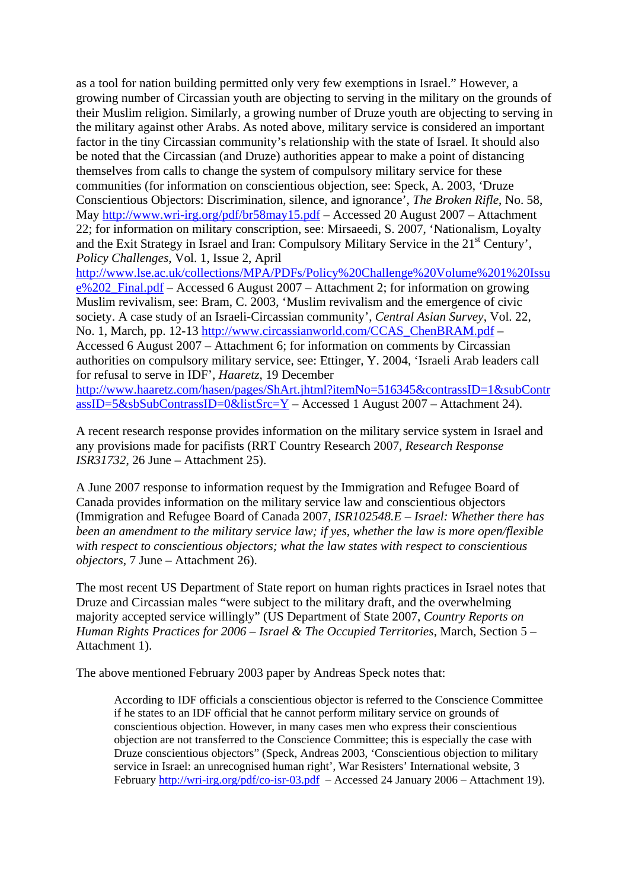as a tool for nation building permitted only very few exemptions in Israel." However, a growing number of Circassian youth are objecting to serving in the military on the grounds of their Muslim religion. Similarly, a growing number of Druze youth are objecting to serving in the military against other Arabs. As noted above, military service is considered an important factor in the tiny Circassian community's relationship with the state of Israel. It should also be noted that the Circassian (and Druze) authorities appear to make a point of distancing themselves from calls to change the system of compulsory military service for these communities (for information on conscientious objection, see: Speck, A. 2003, 'Druze Conscientious Objectors: Discrimination, silence, and ignorance', *The Broken Rifle*, No. 58, May<http://www.wri-irg.org/pdf/br58may15.pdf> – Accessed 20 August 2007 – Attachment 22; for information on military conscription, see: Mirsaeedi, S. 2007, 'Nationalism, Loyalty and the Exit Strategy in Israel and Iran: Compulsory Military Service in the 21<sup>st</sup> Century', *Policy Challenges*, Vol. 1, Issue 2, April

[http://www.lse.ac.uk/collections/MPA/PDFs/Policy%20Challenge%20Volume%201%20Issu](http://www.lse.ac.uk/collections/MPA/PDFs/Policy%20Challenge%20Volume%201%20Issue%202_Final.pdf) [e%202\\_Final.pdf](http://www.lse.ac.uk/collections/MPA/PDFs/Policy%20Challenge%20Volume%201%20Issue%202_Final.pdf) – Accessed 6 August 2007 – Attachment 2; for information on growing Muslim revivalism, see: Bram, C. 2003, 'Muslim revivalism and the emergence of civic society. A case study of an Israeli-Circassian community', *Central Asian Survey*, Vol. 22, No. 1, March, pp. 12-13 [http://www.circassianworld.com/CCAS\\_ChenBRAM.pdf](http://www.circassianworld.com/CCAS_ChenBRAM.pdf) – Accessed 6 August 2007 – Attachment 6; for information on comments by Circassian authorities on compulsory military service, see: Ettinger, Y. 2004, 'Israeli Arab leaders call for refusal to serve in IDF', *Haaretz*, 19 December

[http://www.haaretz.com/hasen/pages/ShArt.jhtml?itemNo=516345&contrassID=1&subContr](http://www.haaretz.com/hasen/pages/ShArt.jhtml?itemNo=516345&contrassID=1&subContrassID=5&sbSubContrassID=0&listSrc=Y) [assID=5&sbSubContrassID=0&listSrc=Y](http://www.haaretz.com/hasen/pages/ShArt.jhtml?itemNo=516345&contrassID=1&subContrassID=5&sbSubContrassID=0&listSrc=Y) – Accessed 1 August 2007 – Attachment 24).

A recent research response provides information on the military service system in Israel and any provisions made for pacifists (RRT Country Research 2007, *Research Response ISR31732*, 26 June – Attachment 25).

A June 2007 response to information request by the Immigration and Refugee Board of Canada provides information on the military service law and conscientious objectors (Immigration and Refugee Board of Canada 2007, *ISR102548.E – Israel: Whether there has been an amendment to the military service law; if yes, whether the law is more open/flexible with respect to conscientious objectors; what the law states with respect to conscientious objectors*, 7 June – Attachment 26).

The most recent US Department of State report on human rights practices in Israel notes that Druze and Circassian males "were subject to the military draft, and the overwhelming majority accepted service willingly" (US Department of State 2007, *Country Reports on Human Rights Practices for 2006 – Israel & The Occupied Territories*, March, Section 5 – Attachment 1).

The above mentioned February 2003 paper by Andreas Speck notes that:

According to IDF officials a conscientious objector is referred to the Conscience Committee if he states to an IDF official that he cannot perform military service on grounds of conscientious objection. However, in many cases men who express their conscientious objection are not transferred to the Conscience Committee; this is especially the case with Druze conscientious objectors" (Speck, Andreas 2003, 'Conscientious objection to military service in Israel: an unrecognised human right', War Resisters' International website, 3 February<http://wri-irg.org/pdf/co-isr-03.pdf>– Accessed 24 January 2006 – Attachment 19).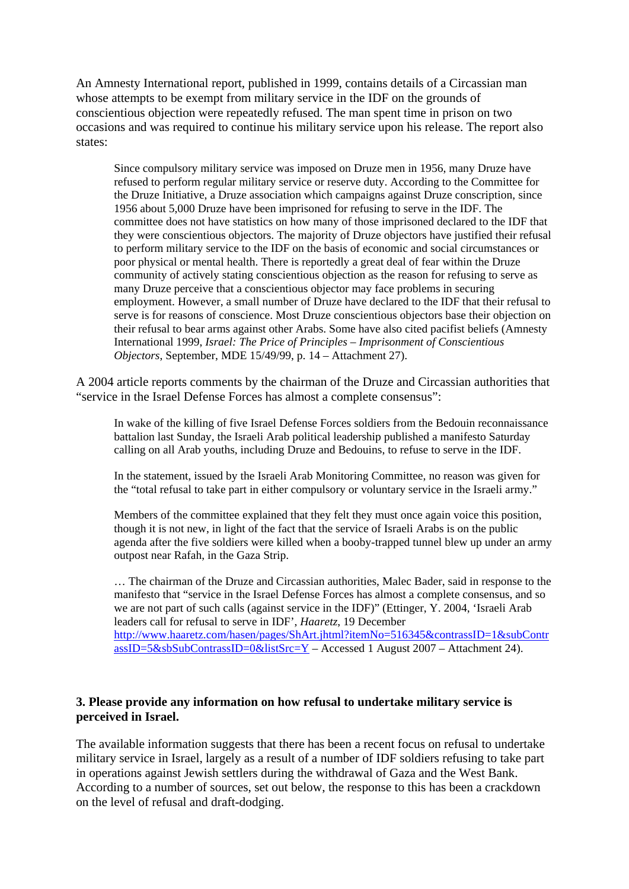An Amnesty International report, published in 1999, contains details of a Circassian man whose attempts to be exempt from military service in the IDF on the grounds of conscientious objection were repeatedly refused. The man spent time in prison on two occasions and was required to continue his military service upon his release. The report also states:

Since compulsory military service was imposed on Druze men in 1956, many Druze have refused to perform regular military service or reserve duty. According to the Committee for the Druze Initiative, a Druze association which campaigns against Druze conscription, since 1956 about 5,000 Druze have been imprisoned for refusing to serve in the IDF. The committee does not have statistics on how many of those imprisoned declared to the IDF that they were conscientious objectors. The majority of Druze objectors have justified their refusal to perform military service to the IDF on the basis of economic and social circumstances or poor physical or mental health. There is reportedly a great deal of fear within the Druze community of actively stating conscientious objection as the reason for refusing to serve as many Druze perceive that a conscientious objector may face problems in securing employment. However, a small number of Druze have declared to the IDF that their refusal to serve is for reasons of conscience. Most Druze conscientious objectors base their objection on their refusal to bear arms against other Arabs. Some have also cited pacifist beliefs (Amnesty International 1999, *Israel: The Price of Principles – Imprisonment of Conscientious Objectors*, September, MDE 15/49/99, p. 14 – Attachment 27).

A 2004 article reports comments by the chairman of the Druze and Circassian authorities that "service in the Israel Defense Forces has almost a complete consensus":

In wake of the killing of five Israel Defense Forces soldiers from the Bedouin reconnaissance battalion last Sunday, the Israeli Arab political leadership published a manifesto Saturday calling on all Arab youths, including Druze and Bedouins, to refuse to serve in the IDF.

In the statement, issued by the Israeli Arab Monitoring Committee, no reason was given for the "total refusal to take part in either compulsory or voluntary service in the Israeli army."

Members of the committee explained that they felt they must once again voice this position, though it is not new, in light of the fact that the service of Israeli Arabs is on the public agenda after the five soldiers were killed when a booby-trapped tunnel blew up under an army outpost near Rafah, in the Gaza Strip.

… The chairman of the Druze and Circassian authorities, Malec Bader, said in response to the manifesto that "service in the Israel Defense Forces has almost a complete consensus, and so we are not part of such calls (against service in the IDF)" (Ettinger, Y. 2004, 'Israeli Arab leaders call for refusal to serve in IDF', *Haaretz*, 19 December [http://www.haaretz.com/hasen/pages/ShArt.jhtml?itemNo=516345&contrassID=1&subContr](http://www.haaretz.com/hasen/pages/ShArt.jhtml?itemNo=516345&contrassID=1&subContrassID=5&sbSubContrassID=0&listSrc=Y)  $\text{assID}=5\&\text{sbSubContrassID}=0\&\text{listSrc}=Y - \text{Accessed 1 August 2007} - \text{Attachment 24}.$ 

# **3. Please provide any information on how refusal to undertake military service is perceived in Israel.**

The available information suggests that there has been a recent focus on refusal to undertake military service in Israel, largely as a result of a number of IDF soldiers refusing to take part in operations against Jewish settlers during the withdrawal of Gaza and the West Bank. According to a number of sources, set out below, the response to this has been a crackdown on the level of refusal and draft-dodging.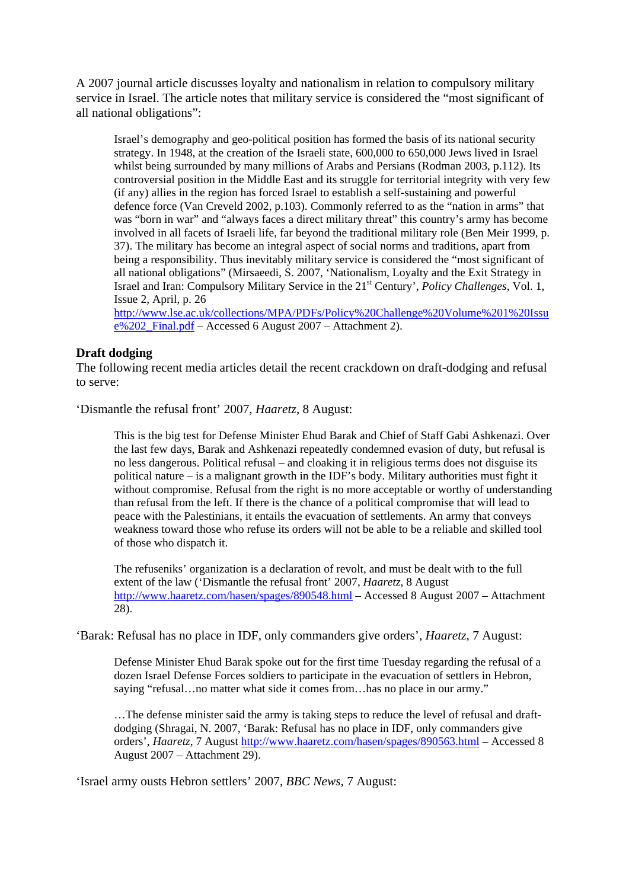A 2007 journal article discusses loyalty and nationalism in relation to compulsory military service in Israel. The article notes that military service is considered the "most significant of all national obligations":

Israel's demography and geo-political position has formed the basis of its national security strategy. In 1948, at the creation of the Israeli state, 600,000 to 650,000 Jews lived in Israel whilst being surrounded by many millions of Arabs and Persians (Rodman 2003, p.112). Its controversial position in the Middle East and its struggle for territorial integrity with very few (if any) allies in the region has forced Israel to establish a self-sustaining and powerful defence force (Van Creveld 2002, p.103). Commonly referred to as the "nation in arms" that was "born in war" and "always faces a direct military threat" this country's army has become involved in all facets of Israeli life, far beyond the traditional military role (Ben Meir 1999, p. 37). The military has become an integral aspect of social norms and traditions, apart from being a responsibility. Thus inevitably military service is considered the "most significant of all national obligations" (Mirsaeedi, S. 2007, 'Nationalism, Loyalty and the Exit Strategy in Israel and Iran: Compulsory Military Service in the 21st Century', *Policy Challenges*, Vol. 1, Issue 2, April, p. 26

[http://www.lse.ac.uk/collections/MPA/PDFs/Policy%20Challenge%20Volume%201%20Issu](http://www.lse.ac.uk/collections/MPA/PDFs/Policy%20Challenge%20Volume%201%20Issue%202_Final.pdf)  $e\sqrt{202}$  Final.pdf – Accessed 6 August 2007 – Attachment 2).

#### **Draft dodging**

The following recent media articles detail the recent crackdown on draft-dodging and refusal to serve:

'Dismantle the refusal front' 2007, *Haaretz*, 8 August:

This is the big test for Defense Minister Ehud Barak and Chief of Staff Gabi Ashkenazi. Over the last few days, Barak and Ashkenazi repeatedly condemned evasion of duty, but refusal is no less dangerous. Political refusal – and cloaking it in religious terms does not disguise its political nature – is a malignant growth in the IDF's body. Military authorities must fight it without compromise. Refusal from the right is no more acceptable or worthy of understanding than refusal from the left. If there is the chance of a political compromise that will lead to peace with the Palestinians, it entails the evacuation of settlements. An army that conveys weakness toward those who refuse its orders will not be able to be a reliable and skilled tool of those who dispatch it.

The refuseniks' organization is a declaration of revolt, and must be dealt with to the full extent of the law ('Dismantle the refusal front' 2007, *Haaretz*, 8 August <http://www.haaretz.com/hasen/spages/890548.html>– Accessed 8 August 2007 – Attachment 28).

'Barak: Refusal has no place in IDF, only commanders give orders', *Haaretz*, 7 August:

Defense Minister Ehud Barak spoke out for the first time Tuesday regarding the refusal of a dozen Israel Defense Forces soldiers to participate in the evacuation of settlers in Hebron, saying "refusal…no matter what side it comes from…has no place in our army."

…The defense minister said the army is taking steps to reduce the level of refusal and draftdodging (Shragai, N. 2007, 'Barak: Refusal has no place in IDF, only commanders give orders', *Haaretz*, 7 August<http://www.haaretz.com/hasen/spages/890563.html> – Accessed 8 August 2007 – Attachment 29).

'Israel army ousts Hebron settlers' 2007, *BBC News*, 7 August: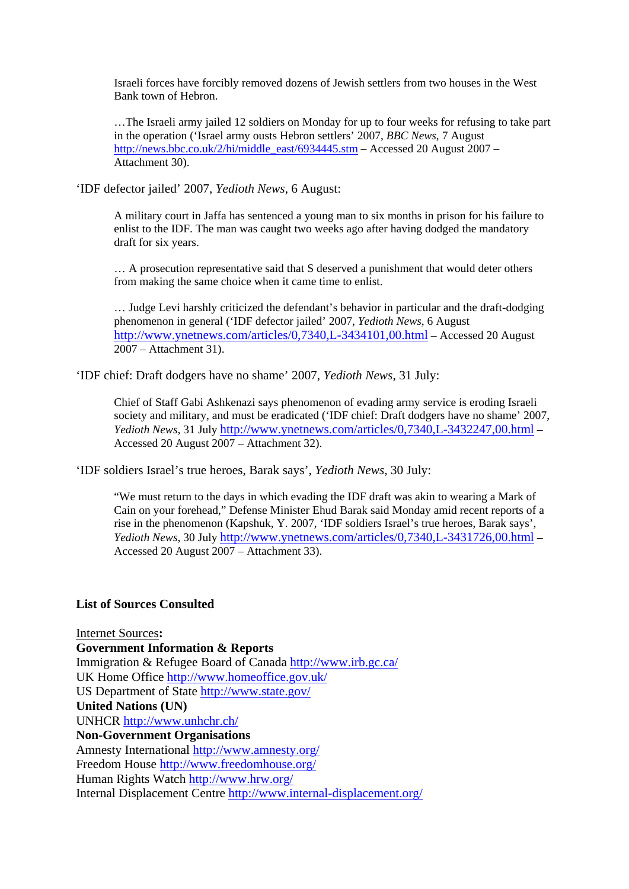Israeli forces have forcibly removed dozens of Jewish settlers from two houses in the West Bank town of Hebron.

…The Israeli army jailed 12 soldiers on Monday for up to four weeks for refusing to take part in the operation ('Israel army ousts Hebron settlers' 2007, *BBC News*, 7 August [http://news.bbc.co.uk/2/hi/middle\\_east/6934445.stm](http://news.bbc.co.uk/2/hi/middle_east/6934445.stm) – Accessed 20 August 2007 – Attachment 30).

'IDF defector jailed' 2007, *Yedioth News*, 6 August:

A military court in Jaffa has sentenced a young man to six months in prison for his failure to enlist to the IDF. The man was caught two weeks ago after having dodged the mandatory draft for six years.

… A prosecution representative said that S deserved a punishment that would deter others from making the same choice when it came time to enlist.

… Judge Levi harshly criticized the defendant's behavior in particular and the draft-dodging phenomenon in general ('IDF defector jailed' 2007, *Yedioth News*, 6 August <http://www.ynetnews.com/articles/0,7340,L-3434101,00.html> – Accessed 20 August 2007 – Attachment 31).

'IDF chief: Draft dodgers have no shame' 2007, *Yedioth News*, 31 July:

Chief of Staff Gabi Ashkenazi says phenomenon of evading army service is eroding Israeli society and military, and must be eradicated ('IDF chief: Draft dodgers have no shame' 2007, *Yedioth News*, 31 July<http://www.ynetnews.com/articles/0,7340,L-3432247,00.html>– Accessed 20 August 2007 – Attachment 32).

'IDF soldiers Israel's true heroes, Barak says', *Yedioth News*, 30 July:

"We must return to the days in which evading the IDF draft was akin to wearing a Mark of Cain on your forehead," Defense Minister Ehud Barak said Monday amid recent reports of a rise in the phenomenon (Kapshuk, Y. 2007, 'IDF soldiers Israel's true heroes, Barak says', *Yedioth News*, 30 July<http://www.ynetnews.com/articles/0,7340,L-3431726,00.html>– Accessed 20 August 2007 – Attachment 33).

#### **List of Sources Consulted**

Internet Sources**: Government Information & Reports**  Immigration & Refugee Board of Canada <http://www.irb.gc.ca/> UK Home Office<http://www.homeoffice.gov.uk/> US Department of State<http://www.state.gov/> **United Nations (UN)**  UNHCR <http://www.unhchr.ch/> **Non-Government Organisations**  Amnesty International <http://www.amnesty.org/> Freedom House<http://www.freedomhouse.org/> Human Rights Watch <http://www.hrw.org/> Internal Displacement Centre<http://www.internal-displacement.org/>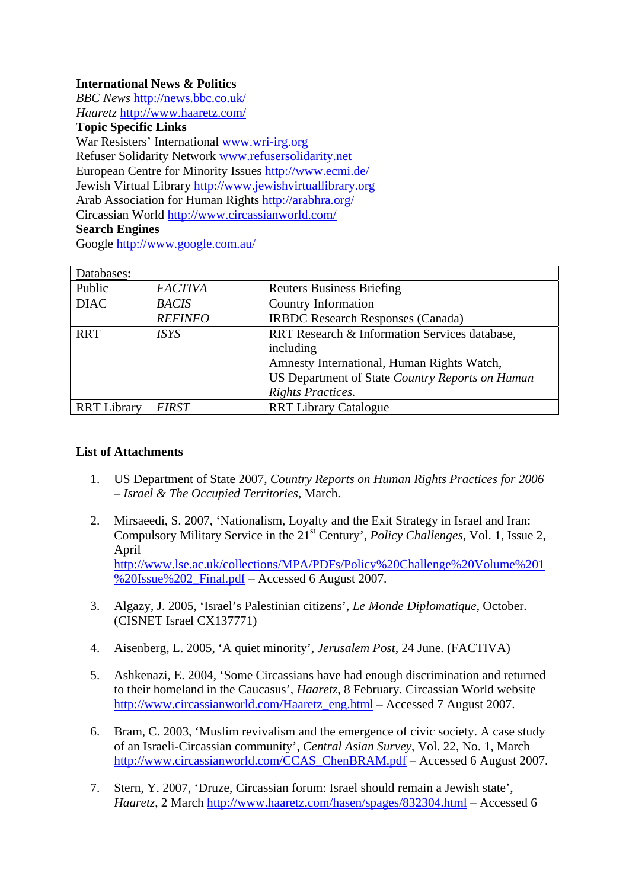# **International News & Politics**

*BBC News* <http://news.bbc.co.uk/> *Haaretz* <http://www.haaretz.com/>

**Topic Specific Links** 

War Resisters' International [www.wri-irg.org](http://www.wri-irg.org/) Refuser Solidarity Network [www.refusersolidarity.net](http://www.refusersolidarity.net/) European Centre for Minority Issues <http://www.ecmi.de/> Jewish Virtual Library [http://www.jewishvirtuallibrary.org](http://www.jewishvirtuallibrary.org/) Arab Association for Human Rights<http://arabhra.org/> Circassian World <http://www.circassianworld.com/>

# **Search Engines**

Google<http://www.google.com.au/>

| Databases:         |                |                                                 |
|--------------------|----------------|-------------------------------------------------|
| Public             | <b>FACTIVA</b> | <b>Reuters Business Briefing</b>                |
| <b>DIAC</b>        | <b>BACIS</b>   | <b>Country Information</b>                      |
|                    | <b>REFINFO</b> | <b>IRBDC</b> Research Responses (Canada)        |
| <b>RRT</b>         | <i>ISYS</i>    | RRT Research & Information Services database,   |
|                    |                | including                                       |
|                    |                | Amnesty International, Human Rights Watch,      |
|                    |                | US Department of State Country Reports on Human |
|                    |                | <b>Rights Practices.</b>                        |
| <b>RRT</b> Library | <b>FIRST</b>   | <b>RRT Library Catalogue</b>                    |

# **List of Attachments**

- 1. US Department of State 2007, *Country Reports on Human Rights Practices for 2006 – Israel & The Occupied Territories*, March.
- 2. Mirsaeedi, S. 2007, 'Nationalism, Loyalty and the Exit Strategy in Israel and Iran: Compulsory Military Service in the 21<sup>st</sup> Century', *Policy Challenges*, Vol. 1, Issue 2, April [http://www.lse.ac.uk/collections/MPA/PDFs/Policy%20Challenge%20Volume%201](http://www.lse.ac.uk/collections/MPA/PDFs/Policy%20Challenge%20Volume%201%20Issue%202_Final.pdf) [%20Issue%202\\_Final.pdf](http://www.lse.ac.uk/collections/MPA/PDFs/Policy%20Challenge%20Volume%201%20Issue%202_Final.pdf) – Accessed 6 August 2007.
- 3. Algazy, J. 2005, 'Israel's Palestinian citizens', *Le Monde Diplomatique*, October. (CISNET Israel CX137771)
- 4. Aisenberg, L. 2005, 'A quiet minority', *Jerusalem Post*, 24 June. (FACTIVA)
- 5. Ashkenazi, E. 2004, 'Some Circassians have had enough discrimination and returned to their homeland in the Caucasus', *Haaretz*, 8 February. Circassian World website [http://www.circassianworld.com/Haaretz\\_eng.html](http://www.circassianworld.com/Haaretz_eng.html) – Accessed 7 August 2007.
- 6. Bram, C. 2003, 'Muslim revivalism and the emergence of civic society. A case study of an Israeli-Circassian community', *Central Asian Survey*, Vol. 22, No. 1, March [http://www.circassianworld.com/CCAS\\_ChenBRAM.pdf](http://www.circassianworld.com/CCAS_ChenBRAM.pdf) – Accessed 6 August 2007.
- 7. Stern, Y. 2007, 'Druze, Circassian forum: Israel should remain a Jewish state', *Haaretz*, 2 March<http://www.haaretz.com/hasen/spages/832304.html> – Accessed 6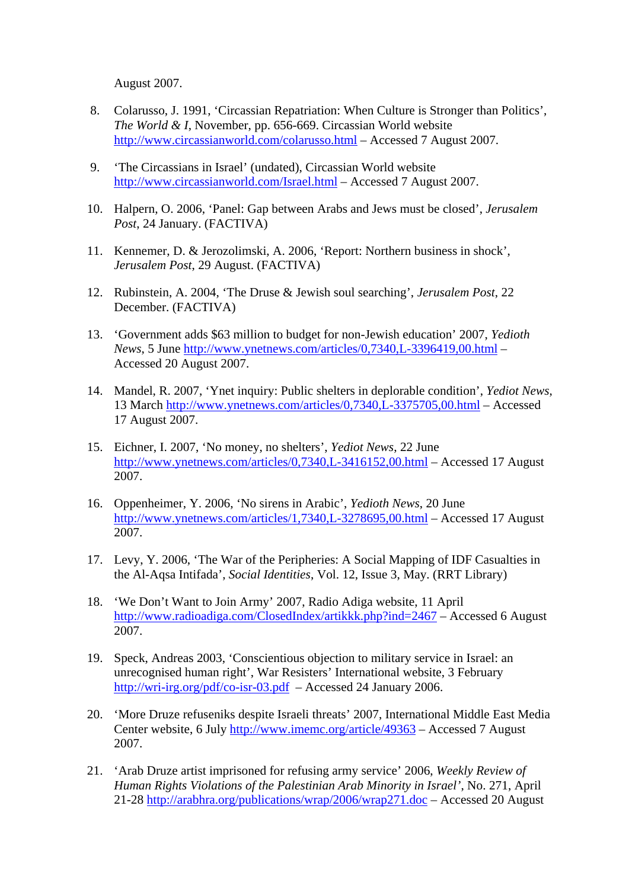August 2007.

- 8. Colarusso, J. 1991, 'Circassian Repatriation: When Culture is Stronger than Politics', *The World & I*, November, pp. 656-669. Circassian World website <http://www.circassianworld.com/colarusso.html> – Accessed 7 August 2007.
- 9. 'The Circassians in Israel' (undated), Circassian World website <http://www.circassianworld.com/Israel.html>– Accessed 7 August 2007.
- 10. Halpern, O. 2006, 'Panel: Gap between Arabs and Jews must be closed', *Jerusalem Post*, 24 January. (FACTIVA)
- 11. Kennemer, D. & Jerozolimski, A. 2006, 'Report: Northern business in shock', *Jerusalem Post*, 29 August. (FACTIVA)
- 12. Rubinstein, A. 2004, 'The Druse & Jewish soul searching', *Jerusalem Post*, 22 December. (FACTIVA)
- 13. 'Government adds \$63 million to budget for non-Jewish education' 2007, *Yedioth News*, 5 June <http://www.ynetnews.com/articles/0,7340,L-3396419,00.html> – Accessed 20 August 2007.
- 14. Mandel, R. 2007, 'Ynet inquiry: Public shelters in deplorable condition', *Yediot News*, 13 March<http://www.ynetnews.com/articles/0,7340,L-3375705,00.html>– Accessed 17 August 2007.
- 15. Eichner, I. 2007, 'No money, no shelters', *Yediot News*, 22 June <http://www.ynetnews.com/articles/0,7340,L-3416152,00.html> – Accessed 17 August 2007.
- 16. Oppenheimer, Y. 2006, 'No sirens in Arabic', *Yedioth News*, 20 June <http://www.ynetnews.com/articles/1,7340,L-3278695,00.html> – Accessed 17 August 2007.
- 17. Levy, Y. 2006, 'The War of the Peripheries: A Social Mapping of IDF Casualties in the Al-Aqsa Intifada', *Social Identities*, Vol. 12, Issue 3, May. (RRT Library)
- 18. 'We Don't Want to Join Army' 2007, Radio Adiga website, 11 April <http://www.radioadiga.com/ClosedIndex/artikkk.php?ind=2467>– Accessed 6 August 2007.
- 19. Speck, Andreas 2003, 'Conscientious objection to military service in Israel: an unrecognised human right', War Resisters' International website, 3 February <http://wri-irg.org/pdf/co-isr-03.pdf>– Accessed 24 January 2006.
- 20. 'More Druze refuseniks despite Israeli threats' 2007, International Middle East Media Center website, 6 July <http://www.imemc.org/article/49363>– Accessed 7 August 2007.
- 21. 'Arab Druze artist imprisoned for refusing army service' 2006, *Weekly Review of Human Rights Violations of the Palestinian Arab Minority in Israel'*, No. 271, April 21-28<http://arabhra.org/publications/wrap/2006/wrap271.doc>– Accessed 20 August